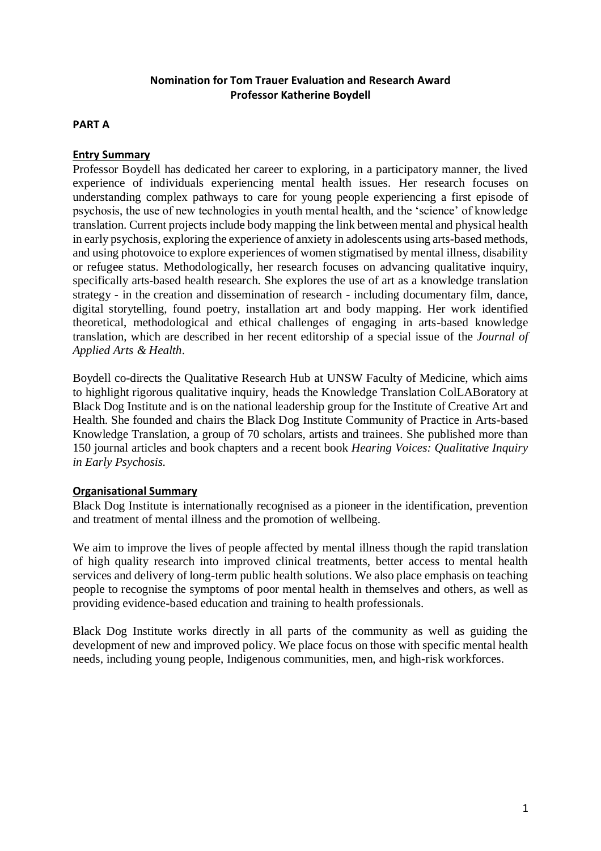# **Nomination for Tom Trauer Evaluation and Research Award Professor Katherine Boydell**

# **PART A**

### **Entry Summary**

Professor Boydell has dedicated her career to exploring, in a participatory manner, the lived experience of individuals experiencing mental health issues. Her research focuses on understanding complex pathways to care for young people experiencing a first episode of psychosis, the use of new technologies in youth mental health, and the 'science' of knowledge translation. Current projects include body mapping the link between mental and physical health in early psychosis, exploring the experience of anxiety in adolescents using arts-based methods, and using photovoice to explore experiences of women stigmatised by mental illness, disability or refugee status. Methodologically, her research focuses on advancing qualitative inquiry, specifically arts-based health research. She explores the use of art as a knowledge translation strategy - in the creation and dissemination of research - including documentary film, dance, digital storytelling, found poetry, installation art and body mapping. Her work identified theoretical, methodological and ethical challenges of engaging in arts-based knowledge translation, which are described in her recent editorship of a special issue of the *Journal of Applied Arts & Health*.

Boydell co-directs the Qualitative Research Hub at UNSW Faculty of Medicine, which aims to highlight rigorous qualitative inquiry, heads the Knowledge Translation ColLABoratory at Black Dog Institute and is on the national leadership group for the Institute of Creative Art and Health. She founded and chairs the Black Dog Institute Community of Practice in Arts-based Knowledge Translation, a group of 70 scholars, artists and trainees. She published more than 150 journal articles and book chapters and a recent book *Hearing Voices: Qualitative Inquiry in Early Psychosis.*

# **Organisational Summary**

Black Dog Institute is internationally recognised as a pioneer in the identification, prevention and treatment of mental illness and the promotion of wellbeing.

We aim to improve the lives of people affected by mental illness though the rapid translation of high quality research into improved clinical treatments, better access to mental health services and delivery of long-term public health solutions. We also place emphasis on teaching people to recognise the symptoms of poor mental health in themselves and others, as well as providing evidence-based education and training to health professionals.

Black Dog Institute works directly in all parts of the community as well as guiding the development of new and improved policy. We place focus on those with specific mental health needs, including young people, Indigenous communities, men, and high-risk workforces.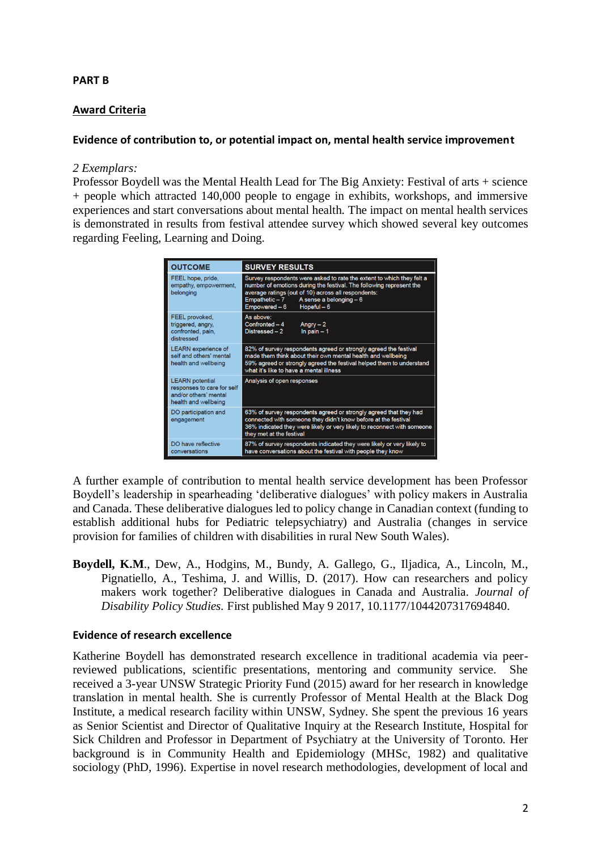# **PART B**

# **Award Criteria**

### **Evidence of contribution to, or potential impact on, mental health service improvement**

#### *2 Exemplars:*

Professor Boydell was the Mental Health Lead for The Big Anxiety: Festival of arts + science + people which attracted 140,000 people to engage in exhibits, workshops, and immersive experiences and start conversations about mental health. The impact on mental health services is demonstrated in results from festival attendee survey which showed several key outcomes regarding Feeling, Learning and Doing.

| <b>OUTCOME</b>                                                                                        | <b>SURVEY RESULTS</b>                                                                                                                                                                                                                                                                |
|-------------------------------------------------------------------------------------------------------|--------------------------------------------------------------------------------------------------------------------------------------------------------------------------------------------------------------------------------------------------------------------------------------|
| FEEL hope, pride,<br>empathy, empowerment,<br>belonging                                               | Survey respondents were asked to rate the extent to which they felt a<br>number of emotions during the festival. The following represent the<br>average ratings (out of 10) across all respondents:<br>$Empathetic - 7$<br>A sense a belonging $-6$<br>Empowered - 6<br>Hopeful $-6$ |
| <b>FEEL provoked.</b><br>triggered, angry,<br>confronted, pain,<br>distressed                         | As above:<br>Confronted - 4<br>Anary $-2$<br>In pain $-1$<br>Distressed - 2                                                                                                                                                                                                          |
| <b>LEARN</b> experience of<br>self and others' mental<br>health and wellbeing                         | 82% of survey respondents agreed or strongly agreed the festival<br>made them think about their own mental health and wellbeing<br>59% agreed or strongly agreed the festival helped them to understand<br>what it's like to have a mental illness                                   |
| <b>LEARN</b> potential<br>responses to care for self<br>and/or others' mental<br>health and wellbeing | Analysis of open responses                                                                                                                                                                                                                                                           |
| DO participation and<br>engagement                                                                    | 63% of survey respondents agreed or strongly agreed that they had<br>connected with someone they didn't know before at the festival<br>36% indicated they were likely or very likely to reconnect with someone<br>they met at the festival                                           |
| DO have reflective<br>conversations                                                                   | 87% of survey respondents indicated they were likely or very likely to<br>have conversations about the festival with people they know                                                                                                                                                |

A further example of contribution to mental health service development has been Professor Boydell's leadership in spearheading 'deliberative dialogues' with policy makers in Australia and Canada. These deliberative dialogues led to policy change in Canadian context (funding to establish additional hubs for Pediatric telepsychiatry) and Australia (changes in service provision for families of children with disabilities in rural New South Wales).

**Boydell, K.M**., Dew, A., Hodgins, M., Bundy, A. Gallego, G., Iljadica, A., Lincoln, M., Pignatiello, A., Teshima, J. and Willis, D. (2017). How can researchers and policy makers work together? Deliberative dialogues in Canada and Australia. *Journal of Disability Policy Studies.* First published May 9 2017, 10.1177/1044207317694840.

#### **Evidence of research excellence**

Katherine Boydell has demonstrated research excellence in traditional academia via peerreviewed publications, scientific presentations, mentoring and community service. She received a 3-year UNSW Strategic Priority Fund (2015) award for her research in knowledge translation in mental health. She is currently Professor of Mental Health at the Black Dog Institute, a medical research facility within UNSW, Sydney. She spent the previous 16 years as Senior Scientist and Director of Qualitative Inquiry at the Research Institute, Hospital for Sick Children and Professor in Department of Psychiatry at the University of Toronto. Her background is in Community Health and Epidemiology (MHSc, 1982) and qualitative sociology (PhD, 1996). Expertise in novel research methodologies, development of local and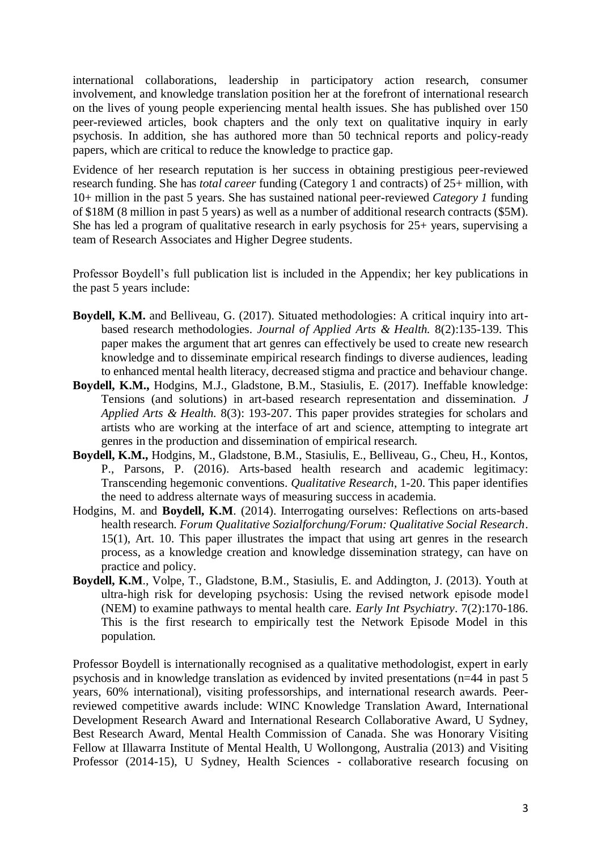international collaborations, leadership in participatory action research, consumer involvement, and knowledge translation position her at the forefront of international research on the lives of young people experiencing mental health issues. She has published over 150 peer-reviewed articles, book chapters and the only text on qualitative inquiry in early psychosis. In addition, she has authored more than 50 technical reports and policy-ready papers, which are critical to reduce the knowledge to practice gap.

Evidence of her research reputation is her success in obtaining prestigious peer-reviewed research funding. She has *total career* funding (Category 1 and contracts) of 25+ million, with 10+ million in the past 5 years. She has sustained national peer-reviewed *Category 1* funding of \$18M (8 million in past 5 years) as well as a number of additional research contracts (\$5M). She has led a program of qualitative research in early psychosis for 25+ years, supervising a team of Research Associates and Higher Degree students.

Professor Boydell's full publication list is included in the Appendix; her key publications in the past 5 years include:

- **Boydell, K.M.** and Belliveau, G. (2017). Situated methodologies: A critical inquiry into artbased research methodologies. *Journal of Applied Arts & Health.* 8(2):135-139. This paper makes the argument that art genres can effectively be used to create new research knowledge and to disseminate empirical research findings to diverse audiences, leading to enhanced mental health literacy, decreased stigma and practice and behaviour change.
- **Boydell, K.M.,** Hodgins, M.J., Gladstone, B.M., Stasiulis, E. (2017). Ineffable knowledge: Tensions (and solutions) in art-based research representation and dissemination. *J Applied Arts & Health.* 8(3): 193-207. This paper provides strategies for scholars and artists who are working at the interface of art and science, attempting to integrate art genres in the production and dissemination of empirical research.
- **Boydell, K.M.,** Hodgins, M., Gladstone, B.M., Stasiulis, E., Belliveau, G., Cheu, H., Kontos, P., Parsons, P. (2016). Arts-based health research and academic legitimacy: Transcending hegemonic conventions. *Qualitative Research*, 1-20. This paper identifies the need to address alternate ways of measuring success in academia.
- Hodgins, M. and **Boydell, K.M**. (2014). Interrogating ourselves: Reflections on arts-based health research. *Forum Qualitative Sozialforchung/Forum: Qualitative Social Research*. 15(1), Art. 10. This paper illustrates the impact that using art genres in the research process, as a knowledge creation and knowledge dissemination strategy, can have on practice and policy.
- **Boydell, K.M**., Volpe, T., Gladstone, B.M., Stasiulis, E. and Addington, J. (2013). Youth at ultra-high risk for developing psychosis: Using the revised network episode model (NEM) to examine pathways to mental health care. *Early Int Psychiatry*. 7(2):170-186. This is the first research to empirically test the Network Episode Model in this population.

Professor Boydell is internationally recognised as a qualitative methodologist, expert in early psychosis and in knowledge translation as evidenced by invited presentations (n=44 in past 5 years, 60% international), visiting professorships, and international research awards. Peerreviewed competitive awards include: WINC Knowledge Translation Award, International Development Research Award and International Research Collaborative Award, U Sydney, Best Research Award, Mental Health Commission of Canada. She was Honorary Visiting Fellow at Illawarra Institute of Mental Health, U Wollongong, Australia (2013) and Visiting Professor (2014-15), U Sydney, Health Sciences - collaborative research focusing on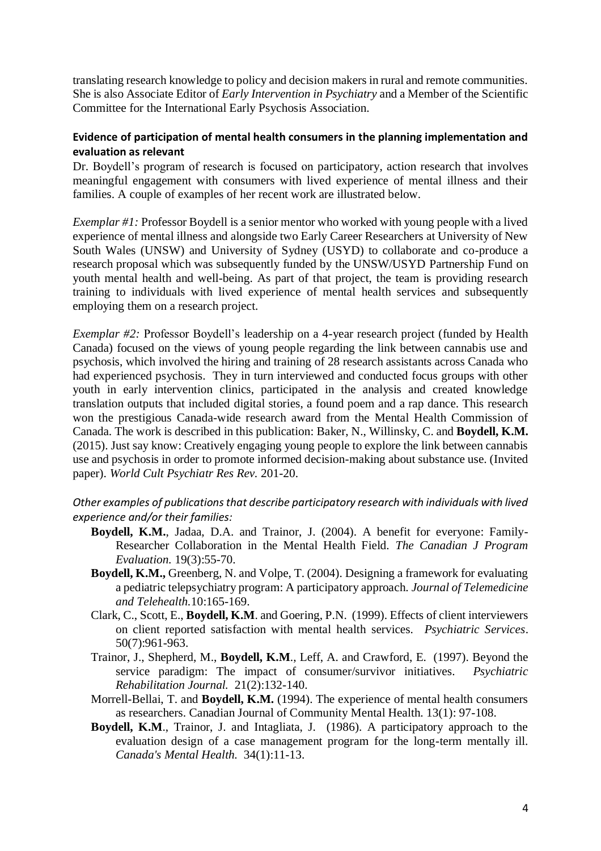translating research knowledge to policy and decision makers in rural and remote communities. She is also Associate Editor of *Early Intervention in Psychiatry* and a Member of the Scientific Committee for the International Early Psychosis Association.

### **Evidence of participation of mental health consumers in the planning implementation and evaluation as relevant**

Dr. Boydell's program of research is focused on participatory, action research that involves meaningful engagement with consumers with lived experience of mental illness and their families. A couple of examples of her recent work are illustrated below.

*Exemplar #1:* Professor Boydell is a senior mentor who worked with young people with a lived experience of mental illness and alongside two Early Career Researchers at University of New South Wales (UNSW) and University of Sydney (USYD) to collaborate and co-produce a research proposal which was subsequently funded by the UNSW/USYD Partnership Fund on youth mental health and well-being. As part of that project, the team is providing research training to individuals with lived experience of mental health services and subsequently employing them on a research project.

*Exemplar #2:* Professor Boydell's leadership on a 4-year research project (funded by Health Canada) focused on the views of young people regarding the link between cannabis use and psychosis, which involved the hiring and training of 28 research assistants across Canada who had experienced psychosis. They in turn interviewed and conducted focus groups with other youth in early intervention clinics, participated in the analysis and created knowledge translation outputs that included digital stories, a found poem and a rap dance. This research won the prestigious Canada-wide research award from the Mental Health Commission of Canada. The work is described in this publication: Baker, N., Willinsky, C. and **Boydell, K.M.**  (2015). Just say know: Creatively engaging young people to explore the link between cannabis use and psychosis in order to promote informed decision-making about substance use. (Invited paper). *World Cult Psychiatr Res Rev.* 201-20.

### *Other examples of publications that describe participatory research with individuals with lived experience and/or their families:*

- **Boydell, K.M.**, Jadaa, D.A. and Trainor, J. (2004). A benefit for everyone: Family-Researcher Collaboration in the Mental Health Field. *The Canadian J Program Evaluation.* 19(3):55-70.
- **Boydell, K.M.,** Greenberg, N. and Volpe, T. (2004). Designing a framework for evaluating a pediatric telepsychiatry program: A participatory approach. *Journal of Telemedicine and Telehealth.*10:165-169.
- Clark, C., Scott, E., **Boydell, K.M**. and Goering, P.N. (1999). Effects of client interviewers on client reported satisfaction with mental health services. *Psychiatric Services*. 50(7):961-963.
- Trainor, J., Shepherd, M., **Boydell, K.M**., Leff, A. and Crawford, E. (1997). Beyond the service paradigm: The impact of consumer/survivor initiatives. *Psychiatric Rehabilitation Journal.* 21(2):132-140.
- Morrell-Bellai, T. and **Boydell, K.M.** (1994). The experience of mental health consumers as researchers. Canadian Journal of Community Mental Health. 13(1): 97-108.
- **Boydell, K.M**., Trainor, J. and Intagliata, J. (1986). A participatory approach to the evaluation design of a case management program for the long-term mentally ill. *Canada's Mental Health.* 34(1):11-13.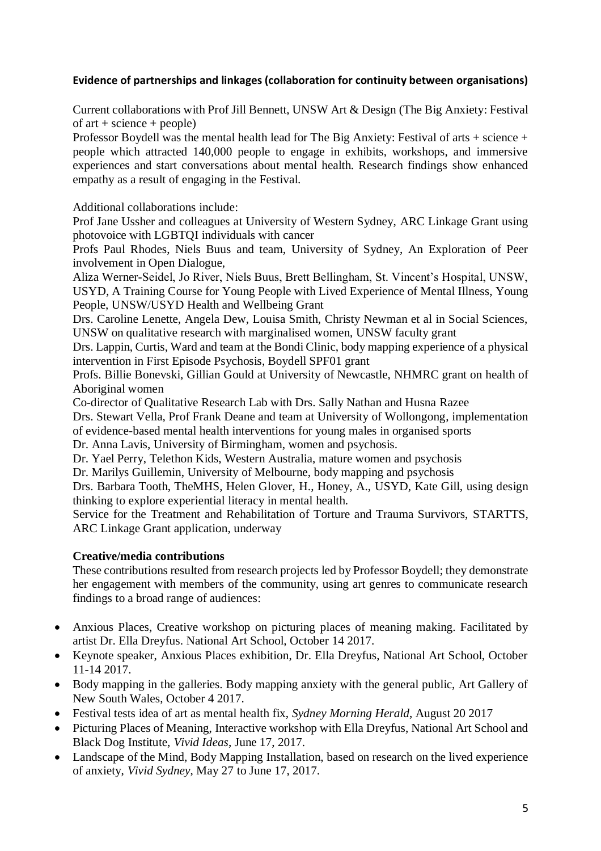# **Evidence of partnerships and linkages (collaboration for continuity between organisations)**

Current collaborations with Prof Jill Bennett, UNSW Art & Design (The Big Anxiety: Festival of art  $+$  science  $+$  people)

Professor Boydell was the mental health lead for The Big Anxiety: Festival of arts + science + people which attracted 140,000 people to engage in exhibits, workshops, and immersive experiences and start conversations about mental health. Research findings show enhanced empathy as a result of engaging in the Festival.

Additional collaborations include:

Prof Jane Ussher and colleagues at University of Western Sydney, ARC Linkage Grant using photovoice with LGBTQI individuals with cancer

Profs Paul Rhodes, Niels Buus and team, University of Sydney, An Exploration of Peer involvement in Open Dialogue,

Aliza Werner-Seidel, Jo River, Niels Buus, Brett Bellingham, St. Vincent's Hospital, UNSW, USYD, A Training Course for Young People with Lived Experience of Mental Illness, Young People, UNSW/USYD Health and Wellbeing Grant

Drs. Caroline Lenette, Angela Dew, Louisa Smith, Christy Newman et al in Social Sciences, UNSW on qualitative research with marginalised women, UNSW faculty grant

Drs. Lappin, Curtis, Ward and team at the Bondi Clinic, body mapping experience of a physical intervention in First Episode Psychosis, Boydell SPF01 grant

Profs. Billie Bonevski, Gillian Gould at University of Newcastle, NHMRC grant on health of Aboriginal women

Co-director of Qualitative Research Lab with Drs. Sally Nathan and Husna Razee

Drs. Stewart Vella, Prof Frank Deane and team at University of Wollongong, implementation of evidence-based mental health interventions for young males in organised sports

Dr. Anna Lavis, University of Birmingham, women and psychosis.

Dr. Yael Perry, Telethon Kids, Western Australia, mature women and psychosis

Dr. Marilys Guillemin, University of Melbourne, body mapping and psychosis

Drs. Barbara Tooth, TheMHS, Helen Glover, H., Honey, A., USYD, Kate Gill, using design thinking to explore experiential literacy in mental health.

Service for the Treatment and Rehabilitation of Torture and Trauma Survivors, STARTTS, ARC Linkage Grant application, underway

# **Creative/media contributions**

These contributions resulted from research projects led by Professor Boydell; they demonstrate her engagement with members of the community, using art genres to communicate research findings to a broad range of audiences:

- Anxious Places, Creative workshop on picturing places of meaning making. Facilitated by artist Dr. Ella Dreyfus. National Art School, October 14 2017.
- Keynote speaker, Anxious Places exhibition, Dr. Ella Dreyfus, National Art School, October 11-14 2017.
- Body mapping in the galleries. Body mapping anxiety with the general public, Art Gallery of New South Wales, October 4 2017.
- Festival tests idea of art as mental health fix, *Sydney Morning Herald*, August 20 2017
- Picturing Places of Meaning, Interactive workshop with Ella Dreyfus, National Art School and Black Dog Institute, *Vivid Ideas*, June 17, 2017.
- Landscape of the Mind, Body Mapping Installation, based on research on the lived experience of anxiety, *Vivid Sydney*, May 27 to June 17, 2017.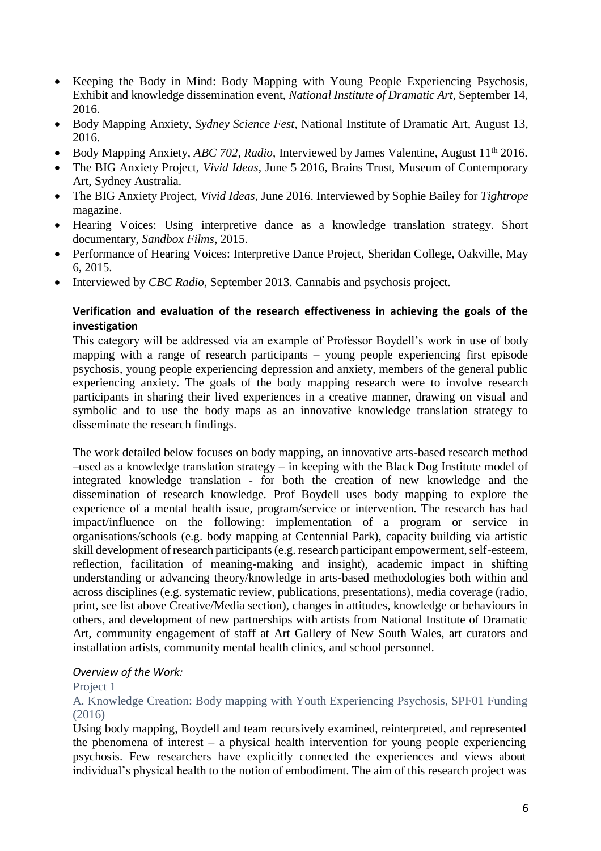- Keeping the Body in Mind: Body Mapping with Young People Experiencing Psychosis, Exhibit and knowledge dissemination event, *National Institute of Dramatic Art*, September 14, 2016.
- Body Mapping Anxiety, *Sydney Science Fest*, National Institute of Dramatic Art, August 13, 2016.
- Body Mapping Anxiety, *ABC 702, Radio*, Interviewed by James Valentine, August 11<sup>th</sup> 2016.
- The BIG Anxiety Project, *Vivid Ideas*, June 5 2016, Brains Trust, Museum of Contemporary Art, Sydney Australia.
- The BIG Anxiety Project, *Vivid Ideas*, June 2016. Interviewed by Sophie Bailey for *Tightrope* magazine.
- Hearing Voices: Using interpretive dance as a knowledge translation strategy. Short documentary, *Sandbox Films*, 2015.
- Performance of Hearing Voices: Interpretive Dance Project, Sheridan College, Oakville, May 6, 2015.
- Interviewed by *CBC Radio*, September 2013. Cannabis and psychosis project.

# **Verification and evaluation of the research effectiveness in achieving the goals of the investigation**

This category will be addressed via an example of Professor Boydell's work in use of body mapping with a range of research participants – young people experiencing first episode psychosis, young people experiencing depression and anxiety, members of the general public experiencing anxiety. The goals of the body mapping research were to involve research participants in sharing their lived experiences in a creative manner, drawing on visual and symbolic and to use the body maps as an innovative knowledge translation strategy to disseminate the research findings.

The work detailed below focuses on body mapping, an innovative arts-based research method –used as a knowledge translation strategy – in keeping with the Black Dog Institute model of integrated knowledge translation - for both the creation of new knowledge and the dissemination of research knowledge. Prof Boydell uses body mapping to explore the experience of a mental health issue, program/service or intervention. The research has had impact/influence on the following: implementation of a program or service in organisations/schools (e.g. body mapping at Centennial Park), capacity building via artistic skill development of research participants (e.g. research participant empowerment, self-esteem, reflection, facilitation of meaning-making and insight), academic impact in shifting understanding or advancing theory/knowledge in arts-based methodologies both within and across disciplines (e.g. systematic review, publications, presentations), media coverage (radio, print, see list above Creative/Media section), changes in attitudes, knowledge or behaviours in others, and development of new partnerships with artists from National Institute of Dramatic Art, community engagement of staff at Art Gallery of New South Wales, art curators and installation artists, community mental health clinics, and school personnel.

#### *Overview of the Work:*

#### Project 1

A. Knowledge Creation: Body mapping with Youth Experiencing Psychosis, SPF01 Funding (2016)

Using body mapping, Boydell and team recursively examined, reinterpreted, and represented the phenomena of interest – a physical health intervention for young people experiencing psychosis. Few researchers have explicitly connected the experiences and views about individual's physical health to the notion of embodiment. The aim of this research project was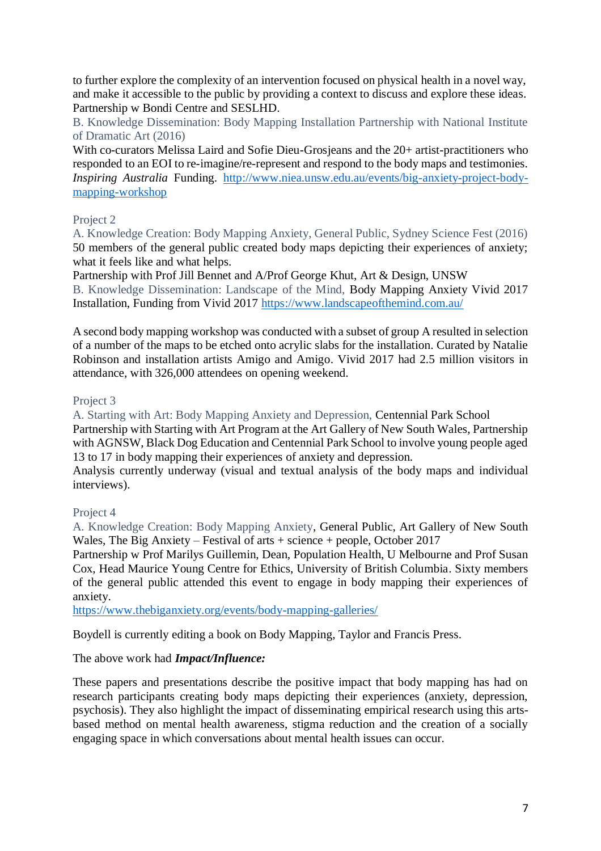to further explore the complexity of an intervention focused on physical health in a novel way, and make it accessible to the public by providing a context to discuss and explore these ideas. Partnership w Bondi Centre and SESLHD.

B. Knowledge Dissemination: Body Mapping Installation Partnership with National Institute of Dramatic Art (2016)

With co-curators Melissa Laird and Sofie Dieu-Grosjeans and the 20+ artist-practitioners who responded to an EOI to re-imagine/re-represent and respond to the body maps and testimonies. *Inspiring Australia* Funding. [http://www.niea.unsw.edu.au/events/big-anxiety-project-body](http://www.niea.unsw.edu.au/events/big-anxiety-project-body-mapping-workshop)[mapping-workshop](http://www.niea.unsw.edu.au/events/big-anxiety-project-body-mapping-workshop)

# Project 2

A. Knowledge Creation: Body Mapping Anxiety, General Public, Sydney Science Fest (2016) 50 members of the general public created body maps depicting their experiences of anxiety; what it feels like and what helps.

Partnership with Prof Jill Bennet and A/Prof George Khut, Art & Design, UNSW

B. Knowledge Dissemination: Landscape of the Mind, Body Mapping Anxiety Vivid 2017 Installation, Funding from Vivid 2017<https://www.landscapeofthemind.com.au/>

A second body mapping workshop was conducted with a subset of group A resulted in selection of a number of the maps to be etched onto acrylic slabs for the installation. Curated by Natalie Robinson and installation artists Amigo and Amigo. Vivid 2017 had 2.5 million visitors in attendance, with 326,000 attendees on opening weekend.

### Project 3

A. Starting with Art: Body Mapping Anxiety and Depression, Centennial Park School Partnership with Starting with Art Program at the Art Gallery of New South Wales, Partnership with AGNSW, Black Dog Education and Centennial Park School to involve young people aged 13 to 17 in body mapping their experiences of anxiety and depression.

Analysis currently underway (visual and textual analysis of the body maps and individual interviews).

# Project 4

A. Knowledge Creation: Body Mapping Anxiety, General Public, Art Gallery of New South Wales, The Big Anxiety – Festival of arts + science + people, October 2017

Partnership w Prof Marilys Guillemin, Dean, Population Health, U Melbourne and Prof Susan Cox, Head Maurice Young Centre for Ethics, University of British Columbia. Sixty members of the general public attended this event to engage in body mapping their experiences of anxiety.

<https://www.thebiganxiety.org/events/body-mapping-galleries/>

Boydell is currently editing a book on Body Mapping, Taylor and Francis Press.

# The above work had *Impact/Influence:*

These papers and presentations describe the positive impact that body mapping has had on research participants creating body maps depicting their experiences (anxiety, depression, psychosis). They also highlight the impact of disseminating empirical research using this artsbased method on mental health awareness, stigma reduction and the creation of a socially engaging space in which conversations about mental health issues can occur.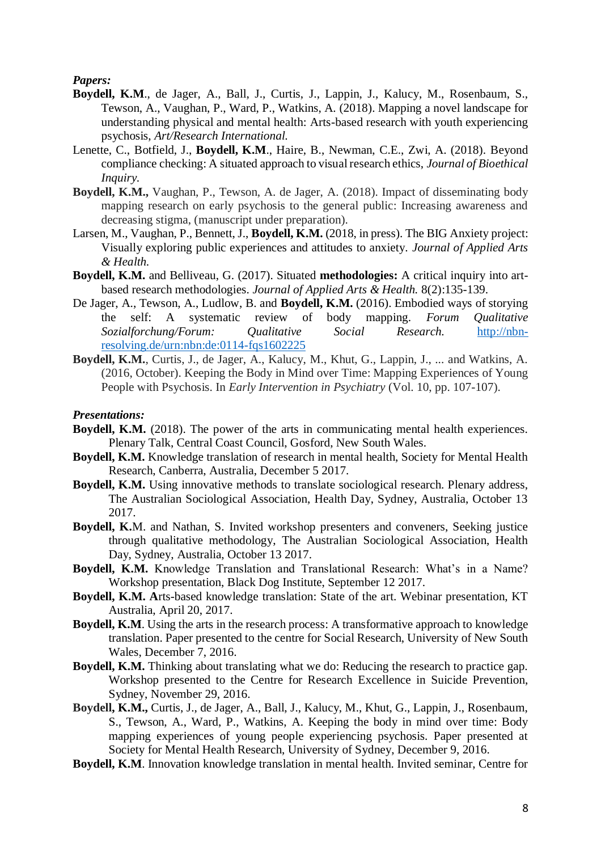*Papers:*

- **Boydell, K.M**., de Jager, A., Ball, J., Curtis, J., Lappin, J., Kalucy, M., Rosenbaum, S., Tewson, A., Vaughan, P., Ward, P., Watkins, A. (2018). Mapping a novel landscape for understanding physical and mental health: Arts-based research with youth experiencing psychosis, *Art/Research International.*
- Lenette, C., Botfield, J., **Boydell, K.M**., Haire, B., Newman, C.E., Zwi, A. (2018). Beyond compliance checking: A situated approach to visual research ethics, *Journal of Bioethical Inquiry.*
- **Boydell, K.M.,** Vaughan, P., Tewson, A. de Jager, A. (2018). Impact of disseminating body mapping research on early psychosis to the general public: Increasing awareness and decreasing stigma, (manuscript under preparation).
- Larsen, M., Vaughan, P., Bennett, J., **Boydell, K.M.** (2018, in press). The BIG Anxiety project: Visually exploring public experiences and attitudes to anxiety. *Journal of Applied Arts & Health.*
- **Boydell, K.M.** and Belliveau, G. (2017). Situated **methodologies:** A critical inquiry into artbased research methodologies. *Journal of Applied Arts & Health.* 8(2):135-139.
- De Jager, A., Tewson, A., Ludlow, B. and **Boydell, K.M.** (2016). Embodied ways of storying the self: A systematic review of body mapping. *Forum Qualitative Sozialforchung/Forum: Qualitative Social Research.* [http://nbn](http://nbn-resolving.de/urn:nbn:de:0114-fqs1602225)[resolving.de/urn:nbn:de:0114-fqs1602225](http://nbn-resolving.de/urn:nbn:de:0114-fqs1602225)
- **Boydell, K.M.**, Curtis, J., de Jager, A., Kalucy, M., Khut, G., Lappin, J., ... and Watkins, A. (2016, October). Keeping the Body in Mind over Time: Mapping Experiences of Young People with Psychosis. In *Early Intervention in Psychiatry* (Vol. 10, pp. 107-107).

#### *Presentations:*

- **Boydell, K.M.** (2018). The power of the arts in communicating mental health experiences. Plenary Talk, Central Coast Council, Gosford, New South Wales.
- **Boydell, K.M.** Knowledge translation of research in mental health, Society for Mental Health Research, Canberra, Australia, December 5 2017.
- **Boydell, K.M.** Using innovative methods to translate sociological research. Plenary address, The Australian Sociological Association, Health Day, Sydney, Australia, October 13 2017.
- **Boydell, K.**M. and Nathan, S. Invited workshop presenters and conveners, Seeking justice through qualitative methodology, The Australian Sociological Association, Health Day, Sydney, Australia, October 13 2017.
- **Boydell, K.M.** Knowledge Translation and Translational Research: What's in a Name? Workshop presentation, Black Dog Institute, September 12 2017.
- **Boydell, K.M. A**rts-based knowledge translation: State of the art. Webinar presentation, KT Australia, April 20, 2017.
- **Boydell, K.M.** Using the arts in the research process: A transformative approach to knowledge translation. Paper presented to the centre for Social Research, University of New South Wales, December 7, 2016.
- **Boydell, K.M.** Thinking about translating what we do: Reducing the research to practice gap. Workshop presented to the Centre for Research Excellence in Suicide Prevention, Sydney, November 29, 2016.
- **Boydell, K.M.,** Curtis, J., de Jager, A., Ball, J., Kalucy, M., Khut, G., Lappin, J., Rosenbaum, S., Tewson, A., Ward, P., Watkins, A. Keeping the body in mind over time: Body mapping experiences of young people experiencing psychosis. Paper presented at Society for Mental Health Research, University of Sydney, December 9, 2016.
- **Boydell, K.M**. Innovation knowledge translation in mental health. Invited seminar, Centre for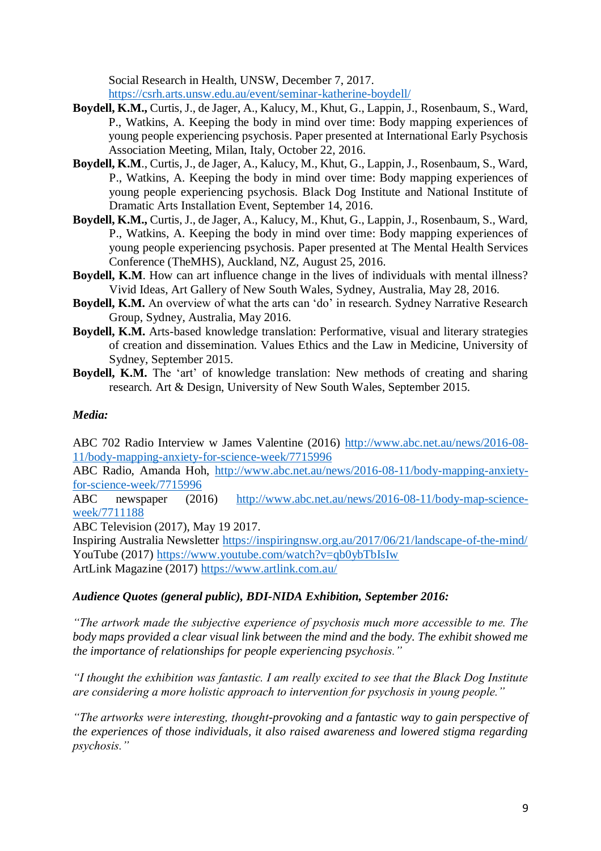Social Research in Health, UNSW, December 7, 2017. <https://csrh.arts.unsw.edu.au/event/seminar-katherine-boydell/>

- **Boydell, K.M.,** Curtis, J., de Jager, A., Kalucy, M., Khut, G., Lappin, J., Rosenbaum, S., Ward, P., Watkins, A. Keeping the body in mind over time: Body mapping experiences of young people experiencing psychosis. Paper presented at International Early Psychosis Association Meeting, Milan, Italy, October 22, 2016.
- **Boydell, K.M**., Curtis, J., de Jager, A., Kalucy, M., Khut, G., Lappin, J., Rosenbaum, S., Ward, P., Watkins, A. Keeping the body in mind over time: Body mapping experiences of young people experiencing psychosis. Black Dog Institute and National Institute of Dramatic Arts Installation Event, September 14, 2016.
- **Boydell, K.M.,** Curtis, J., de Jager, A., Kalucy, M., Khut, G., Lappin, J., Rosenbaum, S., Ward, P., Watkins, A. Keeping the body in mind over time: Body mapping experiences of young people experiencing psychosis. Paper presented at The Mental Health Services Conference (TheMHS), Auckland, NZ, August 25, 2016.
- **Boydell, K.M**. How can art influence change in the lives of individuals with mental illness? Vivid Ideas, Art Gallery of New South Wales, Sydney, Australia, May 28, 2016.
- **Boydell, K.M.** An overview of what the arts can 'do' in research. Sydney Narrative Research Group, Sydney, Australia, May 2016.
- **Boydell, K.M.** Arts-based knowledge translation: Performative, visual and literary strategies of creation and dissemination. Values Ethics and the Law in Medicine, University of Sydney, September 2015.
- **Boydell, K.M.** The 'art' of knowledge translation: New methods of creating and sharing research. Art & Design, University of New South Wales, September 2015.

# *Media:*

ABC 702 Radio Interview w James Valentine (2016) [http://www.abc.net.au/news/2016-08-](http://www.abc.net.au/news/2016-08-11/body-mapping-anxiety-for-science-week/7715996) [11/body-mapping-anxiety-for-science-week/7715996](http://www.abc.net.au/news/2016-08-11/body-mapping-anxiety-for-science-week/7715996)

ABC Radio, Amanda Hoh, [http://www.abc.net.au/news/2016-08-11/body-mapping-anxiety](http://www.abc.net.au/news/2016-08-11/body-mapping-anxiety-for-science-week/7715996)[for-science-week/7715996](http://www.abc.net.au/news/2016-08-11/body-mapping-anxiety-for-science-week/7715996)

ABC newspaper (2016) [http://www.abc.net.au/news/2016-08-11/body-map-science](http://www.abc.net.au/news/2016-08-11/body-map-science-week/7711188)[week/7711188](http://www.abc.net.au/news/2016-08-11/body-map-science-week/7711188)

ABC Television (2017), May 19 2017.

Inspiring Australia Newsletter<https://inspiringnsw.org.au/2017/06/21/landscape-of-the-mind/> YouTube (2017)<https://www.youtube.com/watch?v=qb0ybTbIsIw>

ArtLink Magazine (2017)<https://www.artlink.com.au/>

# *Audience Quotes (general public), BDI-NIDA Exhibition, September 2016:*

*"The artwork made the subjective experience of psychosis much more accessible to me. The body maps provided a clear visual link between the mind and the body. The exhibit showed me the importance of relationships for people experiencing psychosis."*

*"I thought the exhibition was fantastic. I am really excited to see that the Black Dog Institute are considering a more holistic approach to intervention for psychosis in young people."*

*"The artworks were interesting, thought-provoking and a fantastic way to gain perspective of the experiences of those individuals, it also raised awareness and lowered stigma regarding psychosis."*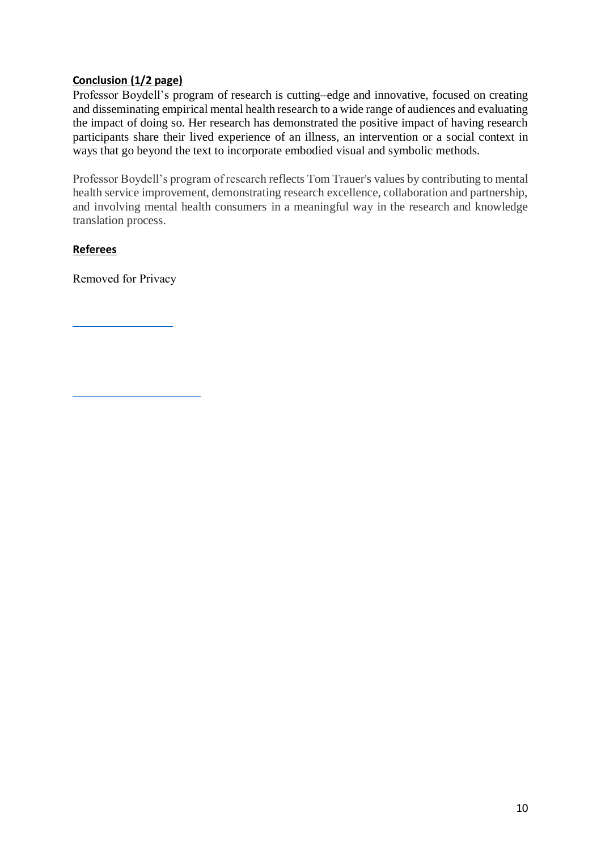# **Conclusion (1/2 page)**

Professor Boydell's program of research is cutting–edge and innovative, focused on creating and disseminating empirical mental health research to a wide range of audiences and evaluating the impact of doing so. Her research has demonstrated the positive impact of having research participants share their lived experience of an illness, an intervention or a social context in ways that go beyond the text to incorporate embodied visual and symbolic methods.

Professor Boydell's program of research reflects Tom Trauer's values by contributing to mental health service improvement, demonstrating research excellence, collaboration and partnership, and involving mental health consumers in a meaningful way in the research and knowledge translation process.

# **Referees**

Removed for Privacy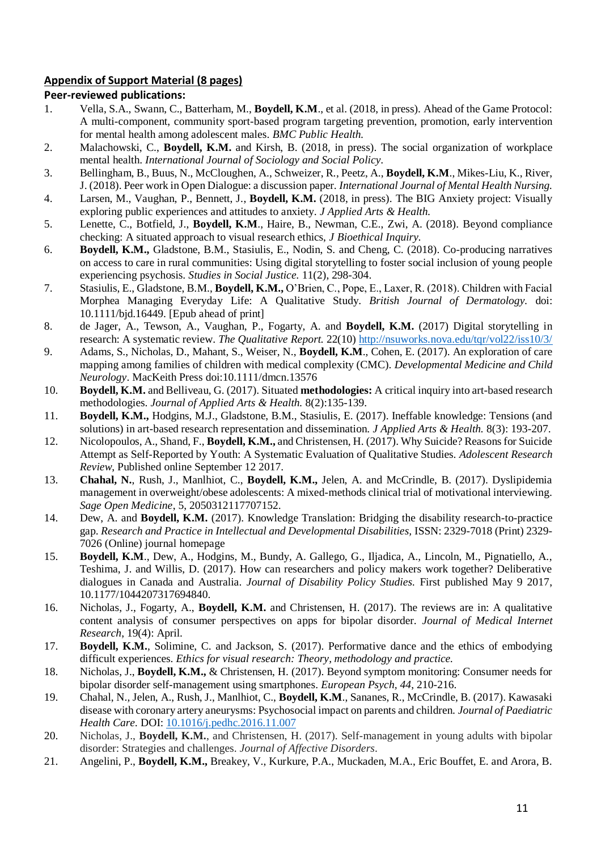# **Appendix of Support Material (8 pages)**

### **Peer-reviewed publications:**

- 1. Vella, S.A., Swann, C., Batterham, M., **Boydell, K.M**., et al. (2018, in press). Ahead of the Game Protocol: A multi-component, community sport-based program targeting prevention, promotion, early intervention for mental health among adolescent males. *BMC Public Health.*
- 2. Malachowski, C., **Boydell, K.M.** and Kirsh, B. (2018, in press). The social organization of workplace mental health. *International Journal of Sociology and Social Policy.*
- 3. Bellingham, B., Buus, N., McCloughen, A., Schweizer, R., Peetz, A., **Boydell, K.M**., Mikes-Liu, K., River, J. (2018). Peer work in Open Dialogue: a discussion paper. *International Journal of Mental Health Nursing.*
- 4. Larsen, M., Vaughan, P., Bennett, J., **Boydell, K.M.** (2018, in press). The BIG Anxiety project: Visually exploring public experiences and attitudes to anxiety. *J Applied Arts & Health.*
- 5. Lenette, C., Botfield, J., **Boydell, K.M**., Haire, B., Newman, C.E., Zwi, A. (2018). Beyond compliance checking: A situated approach to visual research ethics, *J Bioethical Inquiry.*
- 6. **Boydell, K.M.,** Gladstone, B.M., Stasiulis, E., Nodin, S. and Cheng, C. (2018). Co-producing narratives on access to care in rural communities: Using digital storytelling to foster social inclusion of young people experiencing psychosis. *Studies in Social Justice.* 11(2), 298-304.
- 7. Stasiulis, E., Gladstone, B.M., **Boydell, K.M.,** O'Brien, C., Pope, E., Laxer, R. (2018). Children with Facial Morphea Managing Everyday Life: A Qualitative Study. *British Journal of Dermatology.* doi: 10.1111/bjd.16449. [Epub ahead of print]
- 8. de Jager, A., Tewson, A., Vaughan, P., Fogarty, A. and **Boydell, K.M.** (2017) Digital storytelling in research: A systematic review. *The Qualitative Report.* 22(10)<http://nsuworks.nova.edu/tqr/vol22/iss10/3/>
- 9. Adams, S., Nicholas, D., Mahant, S., Weiser, N., **Boydell, K.M**., Cohen, E. (2017). An exploration of care mapping among families of children with medical complexity (CMC). *Developmental Medicine and Child Neurology*. MacKeith Press doi:10.1111/dmcn.13576
- 10. **Boydell, K.M.** and Belliveau, G. (2017). Situated **methodologies:** A critical inquiry into art-based research methodologies. *Journal of Applied Arts & Health.* 8(2):135-139.
- 11. **Boydell, K.M.,** Hodgins, M.J., Gladstone, B.M., Stasiulis, E. (2017). Ineffable knowledge: Tensions (and solutions) in art-based research representation and dissemination. *J Applied Arts & Health.* 8(3): 193-207.
- 12. Nicolopoulos, A., Shand, F., **Boydell, K.M.,** and Christensen, H. (2017). Why Suicide? Reasons for Suicide Attempt as Self-Reported by Youth: A Systematic Evaluation of Qualitative Studies. *Adolescent Research Review*, Published online September 12 2017.
- 13. **Chahal, N.**, Rush, J., Manlhiot, C., **Boydell, K.M.,** Jelen, A. and McCrindle, B. (2017). Dyslipidemia management in overweight/obese adolescents: A mixed-methods clinical trial of motivational interviewing. *Sage Open Medicine*, 5, 2050312117707152.
- 14. Dew, A. and **Boydell, K.M.** (2017). Knowledge Translation: Bridging the disability research-to-practice gap. *Research and Practice in Intellectual and Developmental Disabilities,* ISSN: 2329-7018 (Print) 2329- 7026 (Online) journal homepage
- 15. **Boydell, K.M**., Dew, A., Hodgins, M., Bundy, A. Gallego, G., Iljadica, A., Lincoln, M., Pignatiello, A., Teshima, J. and Willis, D. (2017). How can researchers and policy makers work together? Deliberative dialogues in Canada and Australia. *Journal of Disability Policy Studies.* First published May 9 2017, 10.1177/1044207317694840.
- 16. Nicholas, J., Fogarty, A., **Boydell, K.M.** and Christensen, H. (2017). The reviews are in: A qualitative content analysis of consumer perspectives on apps for bipolar disorder. *Journal of Medical Internet Research*, 19(4): April.
- 17. **Boydell, K.M.**, Solimine, C. and Jackson, S. (2017). Performative dance and the ethics of embodying difficult experiences. *Ethics for visual research: Theory, methodology and practice.*
- 18. Nicholas, J., **Boydell, K.M.,** & Christensen, H. (2017). Beyond symptom monitoring: Consumer needs for bipolar disorder self-management using smartphones. *European Psych, 44*, 210-216.
- 19. Chahal, N.*,* Jelen, A., Rush, J., Manlhiot, C., **Boydell, K.M**., Sananes, R., McCrindle, B. (2017). Kawasaki disease with coronary artery aneurysms: Psychosocial impact on parents and children. *Journal of Paediatric Health Care.* DOI: [10.1016/j.pedhc.2016.11.007](http://dx.doi.org/10.1016/j.pedhc.2016.11.007)
- 20. Nicholas, J., **Boydell, K.M.**, and Christensen, H. (2017). Self-management in young adults with bipolar disorder: Strategies and challenges. *Journal of Affective Disorders*.
- 21. Angelini, P., **Boydell, K.M.,** Breakey, V., Kurkure, P.A., Muckaden, M.A., Eric Bouffet, E. and Arora, B.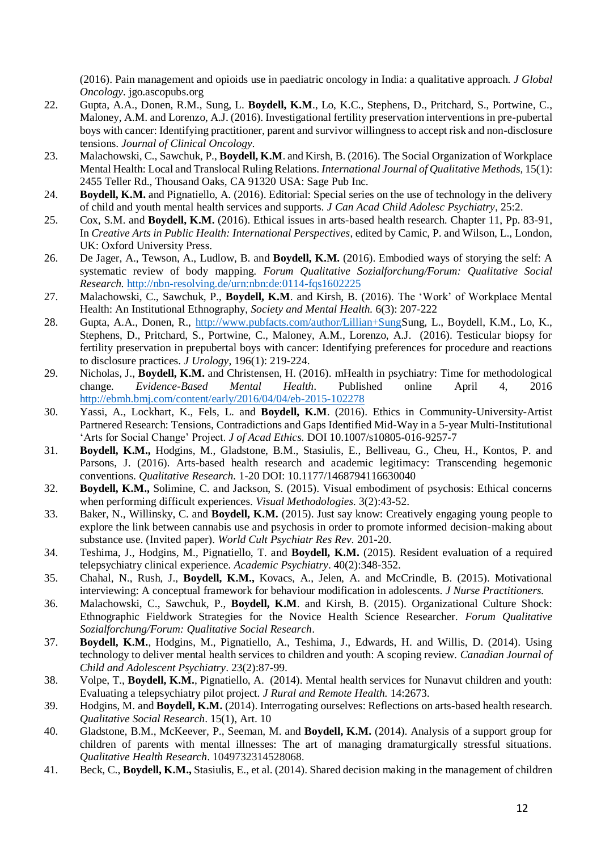(2016). Pain management and opioids use in paediatric oncology in India: a qualitative approach. *J Global Oncology.* jgo.ascopubs.org

- 22. Gupta, A.A., Donen, R.M., Sung, L. **Boydell, K.M**., Lo, K.C., Stephens, D., Pritchard, S., Portwine, C., Maloney, A.M. and Lorenzo, A.J. (2016). Investigational fertility preservation interventions in pre-pubertal boys with cancer: Identifying practitioner, parent and survivor willingness to accept risk and non-disclosure tensions. *Journal of Clinical Oncology.*
- 23. Malachowski, C., Sawchuk, P., **Boydell, K.M**. and Kirsh, B. (2016). The Social Organization of Workplace Mental Health: Local and Translocal Ruling Relations. *International Journal of Qualitative Methods,* 15(1): 2455 Teller Rd., Thousand Oaks, CA 91320 USA: Sage Pub Inc.
- 24. **Boydell, K.M.** and Pignatiello, A. (2016). Editorial: Special series on the use of technology in the delivery of child and youth mental health services and supports. *J Can Acad Child Adolesc Psychiatry*, 25:2.
- 25. Cox, S.M. and **Boydell, K.M.** (2016). Ethical issues in arts-based health research. Chapter 11, Pp. 83-91, In *Creative Arts in Public Health: International Perspectives*, edited by Camic, P. and Wilson, L., London, UK: Oxford University Press.
- 26. De Jager, A., Tewson, A., Ludlow, B. and **Boydell, K.M.** (2016). Embodied ways of storying the self: A systematic review of body mapping. *Forum Qualitative Sozialforchung/Forum: Qualitative Social Research.* <http://nbn-resolving.de/urn:nbn:de:0114-fqs1602225>
- 27. Malachowski, C., Sawchuk, P., **Boydell, K.M**. and Kirsh, B. (2016). The 'Work' of Workplace Mental Health: An Institutional Ethnography, *Society and Mental Health.* 6(3): 207-222
- 28. Gupta, A.A., Donen, R., [http://www.pubfacts.com/author/Lillian+SungS](http://www.pubfacts.com/author/Lillian+Sung)ung, L., Boydell, K.M., Lo, K., Stephens, D., Pritchard, S., Portwine, C., Maloney, A.M., Lorenzo, A.J. (2016). Testicular biopsy for fertility preservation in prepubertal boys with cancer: Identifying preferences for procedure and reactions to disclosure practices. *J Urology*, 196(1): 219-224.
- 29. Nicholas, J., **Boydell, K.M.** and Christensen, H. (2016). mHealth in psychiatry: Time for methodological change. *Evidence-Based Mental Health*. Published online April 4, 2016 <http://ebmh.bmj.com/content/early/2016/04/04/eb-2015-102278>
- 30. Yassi, A., Lockhart, K., Fels, L. and **Boydell, K.M**. (2016). Ethics in Community-University-Artist Partnered Research: Tensions, Contradictions and Gaps Identified Mid-Way in a 5-year Multi-Institutional 'Arts for Social Change' Project. *J of Acad Ethics.* DOI 10.1007/s10805-016-9257-7
- 31. **Boydell, K.M.,** Hodgins, M., Gladstone, B.M., Stasiulis, E., Belliveau, G., Cheu, H., Kontos, P. and Parsons, J. (2016). Arts-based health research and academic legitimacy: Transcending hegemonic conventions. *Qualitative Research.* 1-20 DOI: 10.1177/1468794116630040
- 32. **Boydell, K.M.,** Solimine, C. and Jackson, S. (2015). Visual embodiment of psychosis: Ethical concerns when performing difficult experiences. *Visual Methodologies.* 3(2):43-52.
- 33. Baker, N., Willinsky, C. and **Boydell, K.M.** (2015). Just say know: Creatively engaging young people to explore the link between cannabis use and psychosis in order to promote informed decision-making about substance use. (Invited paper). *World Cult Psychiatr Res Rev.* 201-20.
- 34. Teshima, J., Hodgins, M., Pignatiello, T. and **Boydell, K.M.** (2015). Resident evaluation of a required telepsychiatry clinical experience. *Academic Psychiatry*. 40(2):348-352.
- 35. Chahal, N., Rush, J., **Boydell, K.M.,** Kovacs, A., Jelen, A. and McCrindle, B. (2015). Motivational interviewing: A conceptual framework for behaviour modification in adolescents. *J Nurse Practitioners.*
- 36. Malachowski, C., Sawchuk, P., **Boydell, K.M**. and Kirsh, B. (2015). Organizational Culture Shock: Ethnographic Fieldwork Strategies for the Novice Health Science Researcher. *Forum Qualitative Sozialforchung/Forum: Qualitative Social Research*.
- 37. **Boydell, K.M.**, Hodgins, M., Pignatiello, A., Teshima, J., Edwards, H. and Willis, D. (2014). Using technology to deliver mental health services to children and youth: A scoping review. *Canadian Journal of Child and Adolescent Psychiatry*. 23(2):87-99.
- 38. Volpe, T., **Boydell, K.M.**, Pignatiello, A. (2014). Mental health services for Nunavut children and youth: Evaluating a telepsychiatry pilot project. *J Rural and Remote Health.* 14:2673.
- 39. Hodgins, M. and **Boydell, K.M.** (2014). Interrogating ourselves: Reflections on arts-based health research. *Qualitative Social Research*. 15(1), Art. 10
- 40. Gladstone, B.M., McKeever, P., Seeman, M. and **Boydell, K.M.** (2014). Analysis of a support group for children of parents with mental illnesses: The art of managing dramaturgically stressful situations. *Qualitative Health Research*. 1049732314528068.
- 41. Beck, C., **Boydell, K.M.,** Stasiulis, E., et al. (2014). Shared decision making in the management of children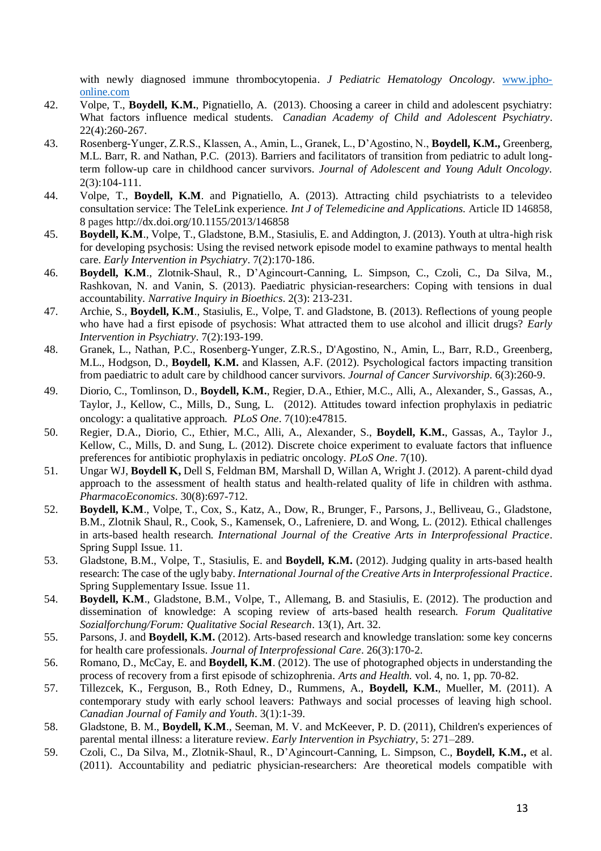with newly diagnosed immune thrombocytopenia. *J Pediatric Hematology Oncology.* [www.jpho](http://www.jpho-online.com/)[online.com](http://www.jpho-online.com/)

- 42. Volpe, T., **Boydell, K.M.**, Pignatiello, A. (2013). Choosing a career in child and adolescent psychiatry: What factors influence medical students. *Canadian Academy of Child and Adolescent Psychiatry*. 22(4):260-267.
- 43. Rosenberg-Yunger, Z.R.S., Klassen, A., Amin, L., Granek, L., D'Agostino, N., **Boydell, K.M.,** Greenberg, M.L. Barr, R. and Nathan, P.C. (2013). Barriers and facilitators of transition from pediatric to adult longterm follow-up care in childhood cancer survivors. *Journal of Adolescent and Young Adult Oncology.*  2(3):104-111.
- 44. Volpe, T., **Boydell, K.M**. and Pignatiello, A. (2013). Attracting child psychiatrists to a televideo consultation service: The TeleLink experience. *Int J of Telemedicine and Applications.* Article ID 146858, 8 pages http://dx.doi.org/10.1155/2013/146858
- 45. **Boydell, K.M**., Volpe, T., Gladstone, B.M., Stasiulis, E. and Addington, J. (2013). Youth at ultra-high risk for developing psychosis: Using the revised network episode model to examine pathways to mental health care. *Early Intervention in Psychiatry*. 7(2):170-186.
- 46. **Boydell, K.M**., Zlotnik-Shaul, R., D'Agincourt-Canning, L. Simpson, C., Czoli, C., Da Silva, M., Rashkovan, N. and Vanin, S. (2013). Paediatric physician-researchers: Coping with tensions in dual accountability. *Narrative Inquiry in Bioethics*. 2(3): 213-231.
- 47. Archie, S., **Boydell, K.M**., Stasiulis, E., Volpe, T. and Gladstone, B. (2013). Reflections of young people who have had a first episode of psychosis: What attracted them to use alcohol and illicit drugs? *Early Intervention in Psychiatry*. 7(2):193-199.
- 48. [Granek,](https://www.researchgate.net/researcher/59179808_Leeat_Granek/) L., [Nathan,](https://www.researchgate.net/researcher/38270208_Paul_C_Nathan/) P.C., [Rosenberg-Yunger,](https://www.researchgate.net/researcher/75481115_Zahava_R_S_Rosenberg-Yunger/) Z.R.S., [D'Agostino,](https://www.researchgate.net/researcher/75512024_Norma_DAgostino/) N., [Amin,](https://www.researchgate.net/researcher/75478451_Leila_Amin/) L., [Barr,](https://www.researchgate.net/researcher/75520302_Ronald_D_Barr/) R.D., [Greenberg,](https://www.researchgate.net/researcher/12668904_Mark_L_Greenberg/) M.L., [Hodgson,](https://www.researchgate.net/researcher/75500707_David_Hodgson/) D., **Boydell, K.M.** and [Klassen,](https://www.researchgate.net/researcher/39747911_Anne_F_Klassen/) A.F. (2012). [Psychological factors impacting transition](https://www.researchgate.net/publication/224870715_Psychological_factors_impacting_transition_from_paediatric_to_adult_care_by_childhood_cancer_survivors?ev=prf_pub)  [from paediatric to adult care by childhood cancer survivors.](https://www.researchgate.net/publication/224870715_Psychological_factors_impacting_transition_from_paediatric_to_adult_care_by_childhood_cancer_survivors?ev=prf_pub) *Journal of Cancer Survivorship*. 6(3):260-9.
- 49. Diorio, C., Tomlinson, D., **Boydell, K.M.**, Regier, D.A., Ethier, M.C., Alli, A., Alexander, S., Gassas, A., Taylor, J., Kellow, C., Mills, D., Sung, L. (2012). [Attitudes toward infection prophylaxis in pediatric](http://www.ncbi.nlm.nih.gov/pubmed/23112849)  [oncology: a qualitative approach.](http://www.ncbi.nlm.nih.gov/pubmed/23112849) *PLoS One*. 7(10):e47815.
- 50. Regier, D.A., Diorio, C., Ethier, M.C., Alli, A., Alexander, S., **Boydell, K.M.**, Gassas, A., Taylor J., Kellow, C., Mills, D. and Sung, L. (2012). [Discrete choice experiment to evaluate factors that influence](http://www.ncbi.nlm.nih.gov/pubmed/23082169)  [preferences for antibiotic prophylaxis in pediatric oncology.](http://www.ncbi.nlm.nih.gov/pubmed/23082169) *PLoS One*. 7(10).
- 51. Ungar WJ, **Boydell K,** Dell S, Feldman BM, Marshall D, Willan A, Wright J. (2012). A parent-child dyad approach to the assessment of health status and health-related quality of life in children with asthma. *PharmacoEconomics*. 30(8):697-712.
- 52. **Boydell, K.M**., Volpe, T., Cox, S., Katz, A., Dow, R., Brunger, F., Parsons, J., Belliveau, G., Gladstone, B.M., Zlotnik Shaul, R., Cook, S., Kamensek, O., Lafreniere, D. and Wong, L. (2012). Ethical challenges in arts-based health research*. International Journal of the Creative Arts in Interprofessional Practice*. Spring Suppl Issue. 11.
- 53. Gladstone, B.M., Volpe, T., Stasiulis, E. and **Boydell, K.M.** (2012). Judging quality in arts-based health research: The case of the ugly baby. *International Journal of the Creative Arts in Interprofessional Practice*. Spring Supplementary Issue. Issue 11.
- 54. **Boydell, K.M**., Gladstone, B.M., Volpe, T., Allemang, B. and Stasiulis, E. (2012). The production and dissemination of knowledge: A scoping review of arts-based health research. *Forum Qualitative Sozialforchung/Forum: Qualitative Social Research*. 13(1), Art. 32.
- 55. Parsons, J. and **Boydell, K.M.** (2012). Arts-based research and knowledge translation: some key concerns for health care professionals. *Journal of Interprofessional Care*. 26(3):170-2.
- 56. Romano, D., McCay, E. and **Boydell, K.M**. (2012). The use of photographed objects in understanding the process of recovery from a first episode of schizophrenia. *Arts and Health.* vol. 4, no. 1, pp. 70-82.
- 57. Tillezcek, K., Ferguson, B., Roth Edney, D., Rummens, A., **Boydell, K.M.**, Mueller, M. (2011). A contemporary study with early school leavers: Pathways and social processes of leaving high school. *Canadian Journal of Family and Youth*. 3(1):1-39.
- 58. Gladstone, B. M., **Boydell, K.M**., Seeman, M. V. and McKeever, P. D. (2011), Children's experiences of parental mental illness: a literature review. *Early Intervention in Psychiatry*, 5: 271–289.
- 59. Czoli, C., Da Silva, M., Zlotnik-Shaul, R., D'Agincourt-Canning, L. Simpson, C., **Boydell, K.M.,** et al. (2011). Accountability and pediatric physician-researchers: Are theoretical models compatible with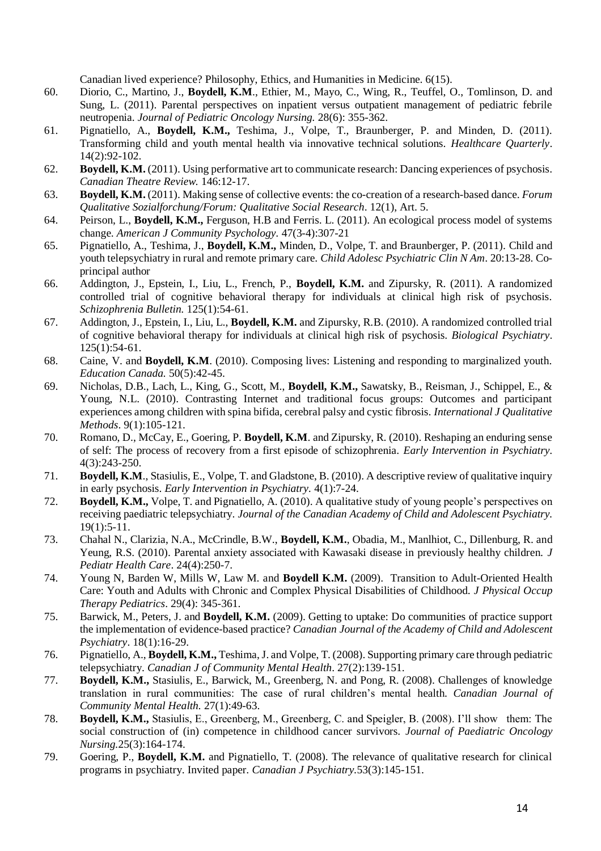Canadian lived experience? Philosophy, Ethics, and Humanities in Medicine. 6(15).

- 60. Diorio, C., Martino, J., **Boydell, K.M**., Ethier, M., Mayo, C., Wing, R., Teuffel, O., Tomlinson, D. and Sung, L. (2011). Parental perspectives on inpatient versus outpatient management of pediatric febrile neutropenia. *Journal of Pediatric Oncology Nursing.* 28(6): 355-362.
- 61. Pignatiello, A., **Boydell, K.M.,** Teshima, J., Volpe, T., Braunberger, P. and Minden, D. (2011). Transforming child and youth mental health via innovative technical solutions. *Healthcare Quarterly*. 14(2):92-102.
- 62. **Boydell, K.M.** (2011). Using performative art to communicate research: Dancing experiences of psychosis. *Canadian Theatre Review.* 146:12-17.
- 63. **Boydell, K.M.** (2011). Making sense of collective events: the co-creation of a research-based dance. *Forum Qualitative Sozialforchung/Forum: Qualitative Social Research*. 12(1), Art. 5.
- 64. Peirson, L., **Boydell, K.M.,** Ferguson, H.B and Ferris. L. (2011). An ecological process model of systems change. *American J Community Psychology.* 47(3-4):307-21
- 65. Pignatiello, A., Teshima, J., **Boydell, K.M.,** Minden, D., Volpe, T. and Braunberger, P. (2011). Child and youth telepsychiatry in rural and remote primary care. *Child Adolesc Psychiatric Clin N Am*. 20:13-28. Coprincipal author
- 66. Addington, J., Epstein, I., Liu, L., French, P., **Boydell, K.M.** and Zipursky, R. (2011). A randomized controlled trial of cognitive behavioral therapy for individuals at clinical high risk of psychosis. *Schizophrenia Bulletin.* 125(1):54-61.
- 67. Addington, J., Epstein, I., Liu, L., **Boydell, K.M.** and Zipursky, R.B. (2010). A randomized controlled trial of cognitive behavioral therapy for individuals at clinical high risk of psychosis. *Biological Psychiatry*.  $125(1):54-61.$
- 68. Caine, V. and **Boydell, K.M**. (2010). Composing lives: Listening and responding to marginalized youth. *Education Canada.* 50(5):42-45.
- 69. Nicholas, D.B., Lach, L., King, G., Scott, M., **Boydell, K.M.,** Sawatsky, B., Reisman, J., Schippel, E., & Young, N.L. (2010). Contrasting Internet and traditional focus groups: Outcomes and participant experiences among children with spina bifida, cerebral palsy and cystic fibrosis*. International J Qualitative Methods*. 9(1):105-121.
- 70. Romano, D., McCay, E., Goering, P. **Boydell, K.M**. and Zipursky, R. (2010). Reshaping an enduring sense of self: The process of recovery from a first episode of schizophrenia. *Early Intervention in Psychiatry.* 4(3):243-250.
- 71. **Boydell, K.M**., Stasiulis, E., Volpe, T. and Gladstone, B. (2010). A descriptive review of qualitative inquiry in early psychosis. *Early Intervention in Psychiatry.* 4(1):7-24.
- 72. **Boydell, K.M.,** Volpe, T. and Pignatiello, A. (2010). A qualitative study of young people's perspectives on receiving paediatric telepsychiatry. *Journal of the Canadian Academy of Child and Adolescent Psychiatry.*  $19(1):5-11.$
- 73. Chahal N., Clarizia, N.A., McCrindle, B.W., **Boydell, K.M.**, Obadia, M., Manlhiot, C., Dillenburg, R. and Yeung, R.S. (2010). Parental anxiety associated with Kawasaki disease in previously healthy children. *J Pediatr Health Care*. 24(4):250-7.
- 74. Young N, Barden W, Mills W, Law M. and **Boydell K.M.** (2009). Transition to Adult-Oriented Health Care: Youth and Adults with Chronic and Complex Physical Disabilities of Childhood. *J Physical Occup Therapy Pediatrics*. 29(4): 345-361.
- 75. Barwick, M., Peters, J. and **Boydell, K.M.** (2009). Getting to uptake: Do communities of practice support the implementation of evidence-based practice? *Canadian Journal of the Academy of Child and Adolescent Psychiatry*. 18(1):16-29.
- 76. Pignatiello, A., **Boydell, K.M.,** Teshima, J. and Volpe, T. (2008). Supporting primary care through pediatric telepsychiatry. *Canadian J of Community Mental Health*. 27(2):139-151.
- 77. **Boydell, K.M.,** Stasiulis, E., Barwick, M., Greenberg, N. and Pong, R. (2008). Challenges of knowledge translation in rural communities: The case of rural children's mental health. *Canadian Journal of Community Mental Health.* 27(1):49-63.
- 78. **Boydell, K.M.,** Stasiulis, E., Greenberg, M., Greenberg, C. and Speigler, B. (2008). I'll show them: The social construction of (in) competence in childhood cancer survivors. *Journal of Paediatric Oncology Nursing.*25(3):164-174.
- 79. Goering, P., **Boydell, K.M.** and Pignatiello, T. (2008). The relevance of qualitative research for clinical programs in psychiatry. Invited paper. *Canadian J Psychiatry.*53(3):145-151.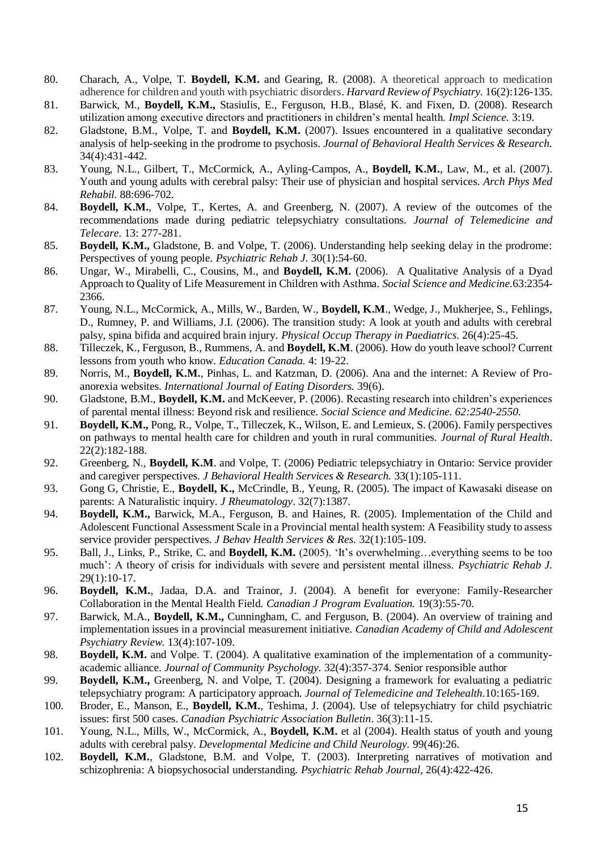- 80. Charach, A., Volpe, T. **Boydell, K.M.** and Gearing, R. (2008). A theoretical approach to medication adherence for children and youth with psychiatric disorders. *Harvard Review of Psychiatry.* 16(2):126-135.
- 81. Barwick, M., **Boydell, K.M.,** Stasiulis, E., Ferguson, H.B., Blasé, K. and Fixen, D. (2008). Research utilization among executive directors and practitioners in children's mental health. *Impl Science.* 3:19.
- 82. Gladstone, B.M., Volpe, T. and **Boydell, K.M.** (2007). Issues encountered in a qualitative secondary analysis of help-seeking in the prodrome to psychosis. *Journal of Behavioral Health Services & Research.* 34(4):431-442.
- 83. Young, N.L., Gilbert, T., McCormick, A., Ayling-Campos, A., **Boydell, K.M.**, Law, M., et al. (2007). Youth and young adults with cerebral palsy: Their use of physician and hospital services. *Arch Phys Med Rehabil.* 88:696-702.
- 84. **Boydell, K.M.**, Volpe, T., Kertes, A. and Greenberg, N. (2007). A review of the outcomes of the recommendations made during pediatric telepsychiatry consultations. *Journal of Telemedicine and Telecare.* 13: 277-281.
- 85. **Boydell, K.M.,** Gladstone, B. and Volpe, T. (2006). Understanding help seeking delay in the prodrome: Perspectives of young people. *Psychiatric Rehab J.* 30(1):54-60.
- 86. Ungar, W., Mirabelli, C., Cousins, M., and **Boydell, K.M.** (2006). A Qualitative Analysis of a Dyad Approach to Quality of Life Measurement in Children with Asthma. *Social Science and Medicine.*63:2354- 2366.
- 87. Young, N.L., McCormick, A., Mills, W., Barden, W., **Boydell, K.M**., Wedge, J., Mukherjee, S., Fehlings, D., Rumney, P. and Williams, J.I. (2006). The transition study: A look at youth and adults with cerebral palsy, spina bifida and acquired brain injury. *Physical Occup Therapy in Paediatrics.* 26(4):25-45.
- 88. Tilleczek, K., Ferguson, B., Rummens, A. and **Boydell, K.M**. (2006). How do youth leave school? Current lessons from youth who know. *Education Canada.* 4: 19-22.
- 89. Norris, M., **Boydell, K.M.**, Pinhas, L. and Katzman, D. (2006). Ana and the internet: A Review of Proanorexia websites. *International Journal of Eating Disorders.* 39(6).
- 90. Gladstone, B.M., **Boydell, K.M.** and McKeever, P. (2006). Recasting research into children's experiences of parental mental illness: Beyond risk and resilience. *Social Science and Medicine. 62:2540-2550.*
- 91. **Boydell, K.M.,** Pong, R., Volpe, T., Tilleczek, K., Wilson, E. and Lemieux, S. (2006). Family perspectives on pathways to mental health care for children and youth in rural communities. *Journal of Rural Health*. 22(2):182-188.
- 92. Greenberg, N., **Boydell, K.M**. and Volpe, T. (2006) Pediatric telepsychiatry in Ontario: Service provider and caregiver perspectives. *J Behavioral Health Services & Research.* 33(1):105-111.
- 93. Gong G, Christie, E., **Boydell, K.,** McCrindle, B., Yeung, R. (2005). The impact of Kawasaki disease on parents: A Naturalistic inquiry. *J Rheumatology*. 32(7):1387.
- 94. **Boydell, K.M.,** Barwick, M.A., Ferguson, B. and Haines, R. (2005). Implementation of the Child and Adolescent Functional Assessment Scale in a Provincial mental health system: A Feasibility study to assess service provider perspectives. *J Behav Health Services & Res.* 32(1):105-109.
- 95. Ball, J., Links, P., Strike, C. and **Boydell, K.M.** (2005). 'It's overwhelming…everything seems to be too much': A theory of crisis for individuals with severe and persistent mental illness. *Psychiatric Rehab J.*  29(1):10-17.
- 96. **Boydell, K.M.**, Jadaa, D.A. and Trainor, J. (2004). A benefit for everyone: Family-Researcher Collaboration in the Mental Health Field. *Canadian J Program Evaluation.* 19(3):55-70.
- 97. Barwick, M.A., **Boydell, K.M.,** Cunningham, C. and Ferguson, B. (2004). An overview of training and implementation issues in a provincial measurement initiative. *Canadian Academy of Child and Adolescent Psychiatry Review.* 13(4):107-109.
- 98. **Boydell, K.M.** and Volpe. T. (2004). A qualitative examination of the implementation of a communityacademic alliance. *Journal of Community Psychology.* 32(4):357-374. Senior responsible author
- 99. **Boydell, K.M.,** Greenberg, N. and Volpe, T. (2004). Designing a framework for evaluating a pediatric telepsychiatry program: A participatory approach. *Journal of Telemedicine and Telehealth.*10:165-169.
- 100. Broder, E., Manson, E., **Boydell, K.M.**, Teshima, J. (2004). Use of telepsychiatry for child psychiatric issues: first 500 cases. *Canadian Psychiatric Association Bulletin*. 36(3):11-15.
- 101. Young, N.L., Mills, W., McCormick, A., **Boydell, K.M.** et al (2004). Health status of youth and young adults with cerebral palsy. *Developmental Medicine and Child Neurology.* 99(46):26.
- 102. **Boydell, K.M.**, Gladstone, B.M. and Volpe, T. (2003). Interpreting narratives of motivation and schizophrenia: A biopsychosocial understanding. *Psychiatric Rehab Journal*, 26(4):422-426.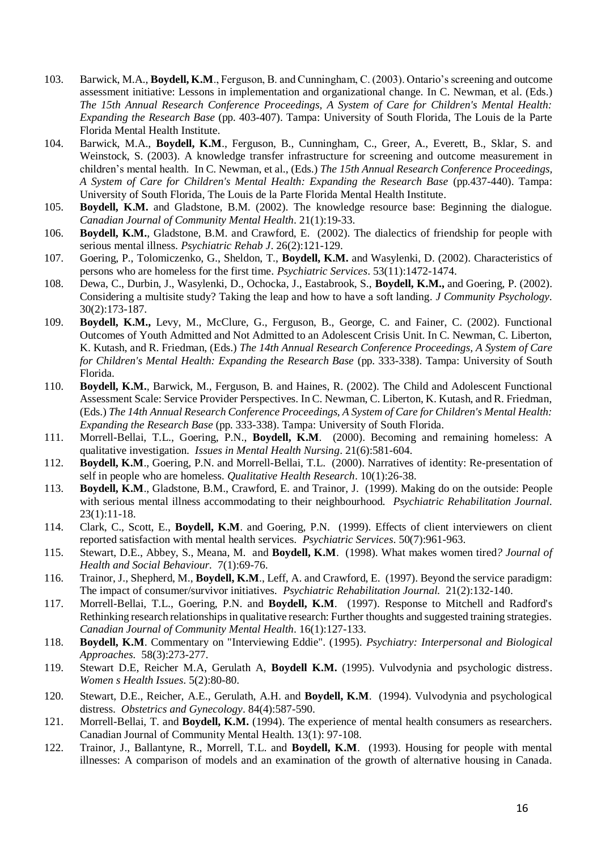- 103. Barwick, M.A., **Boydell, K.M**., Ferguson, B. and Cunningham, C. (2003). Ontario's screening and outcome assessment initiative: Lessons in implementation and organizational change. In C. Newman, et al. (Eds.) *The 15th Annual Research Conference Proceedings, A System of Care for Children's Mental Health: Expanding the Research Base* (pp. 403-407). Tampa: University of South Florida, The Louis de la Parte Florida Mental Health Institute.
- 104. Barwick, M.A., **Boydell, K.M**., Ferguson, B., Cunningham, C., Greer, A., Everett, B., Sklar, S. and Weinstock, S. (2003). A knowledge transfer infrastructure for screening and outcome measurement in children's mental health. In C. Newman, et al., (Eds.) *The 15th Annual Research Conference Proceedings, A System of Care for Children's Mental Health: Expanding the Research Base* (pp.437-440). Tampa: University of South Florida, The Louis de la Parte Florida Mental Health Institute.
- 105. **Boydell, K.M.** and Gladstone, B.M. (2002). The knowledge resource base: Beginning the dialogue. *Canadian Journal of Community Mental Health*. 21(1):19-33.
- 106. **Boydell, K.M.**, Gladstone, B.M. and Crawford, E. (2002). The dialectics of friendship for people with serious mental illness. *Psychiatric Rehab J*. 26(2):121-129.
- 107. Goering, P., Tolomiczenko, G., Sheldon, T., **Boydell, K.M.** and Wasylenki, D. (2002). Characteristics of persons who are homeless for the first time. *Psychiatric Services*. 53(11):1472-1474.
- 108. Dewa, C., Durbin, J., Wasylenki, D., Ochocka, J., Eastabrook, S., **Boydell, K.M.,** and Goering, P. (2002). Considering a multisite study? Taking the leap and how to have a soft landing*. J Community Psychology.*  30(2):173-187.
- 109. **Boydell, K.M.,** Levy, M., McClure, G., Ferguson, B., George, C. and Fainer, C. (2002). Functional Outcomes of Youth Admitted and Not Admitted to an Adolescent Crisis Unit. In C. Newman, C. Liberton, K. Kutash, and R. Friedman, (Eds.) *The 14th Annual Research Conference Proceedings, A System of Care*  for Children's Mental Health: Expanding the Research Base (pp. 333-338). Tampa: University of South Florida.
- 110. **Boydell, K.M.**, Barwick, M., Ferguson, B. and Haines, R. (2002). The Child and Adolescent Functional Assessment Scale: Service Provider Perspectives. In C. Newman, C. Liberton, K. Kutash, and R. Friedman, (Eds.) *The 14th Annual Research Conference Proceedings, A System of Care for Children's Mental Health: Expanding the Research Base* (pp. 333-338). Tampa: University of South Florida.
- 111. Morrell-Bellai, T.L., Goering, P.N., **Boydell, K.M**. (2000). Becoming and remaining homeless: A qualitative investigation. *Issues in Mental Health Nursing*. 21(6):581-604.
- 112. **Boydell, K.M**., Goering, P.N. and Morrell-Bellai, T.L. (2000). Narratives of identity: Re-presentation of self in people who are homeless. *Qualitative Health Research*. 10(1):26-38.
- 113. **Boydell, K.M**., Gladstone, B.M., Crawford, E. and Trainor, J. (1999). Making do on the outside: People with serious mental illness accommodating to their neighbourhood. *Psychiatric Rehabilitation Journal.*  23(1):11-18.
- 114. Clark, C., Scott, E., **Boydell, K.M**. and Goering, P.N. (1999). Effects of client interviewers on client reported satisfaction with mental health services. *Psychiatric Services*. 50(7):961-963.
- 115. Stewart, D.E., Abbey, S., Meana, M. and **Boydell, K.M**. (1998). What makes women tired*? Journal of Health and Social Behaviour.* 7(1):69-76.
- 116. Trainor, J., Shepherd, M., **Boydell, K.M**., Leff, A. and Crawford, E. (1997). Beyond the service paradigm: The impact of consumer/survivor initiatives. *Psychiatric Rehabilitation Journal.* 21(2):132-140.
- 117. Morrell-Bellai, T.L., Goering, P.N. and **Boydell, K.M**. (1997). Response to Mitchell and Radford's Rethinking research relationships in qualitative research: Further thoughts and suggested training strategies. *Canadian Journal of Community Mental Health*. 16(1):127-133.
- 118. **Boydell, K.M**. Commentary on "Interviewing Eddie". (1995). *Psychiatry: Interpersonal and Biological Approaches.* 58(3):273-277.
- 119. [Stewart D.E,](https://www.researchgate.net/researcher/2003495908_Stewart_DE/) [Reicher M.A,](https://www.researchgate.net/researcher/2003438440_Reicher_MA/) [Gerulath A,](https://www.researchgate.net/researcher/2003363271_Gerulath_A/) **Boydell K.M.** (1995). [Vulvodynia and psychologic distress.](https://www.researchgate.net/publication/233577525_Vulvodynia_and_psychologic_distress?ev=prf_pub) *Women s Health Issues*. 5(2):80-80.
- 120. Stewart, D.E., Reicher, A.E., Gerulath, A.H. and **Boydell, K.M**. (1994). Vulvodynia and psychological distress. *Obstetrics and Gynecology*. 84(4):587-590.
- 121. Morrell-Bellai, T. and **Boydell, K.M.** (1994). The experience of mental health consumers as researchers. Canadian Journal of Community Mental Health. 13(1): 97-108.
- 122. Trainor, J., Ballantyne, R., Morrell, T.L. and **Boydell, K.M**. (1993). Housing for people with mental illnesses: A comparison of models and an examination of the growth of alternative housing in Canada.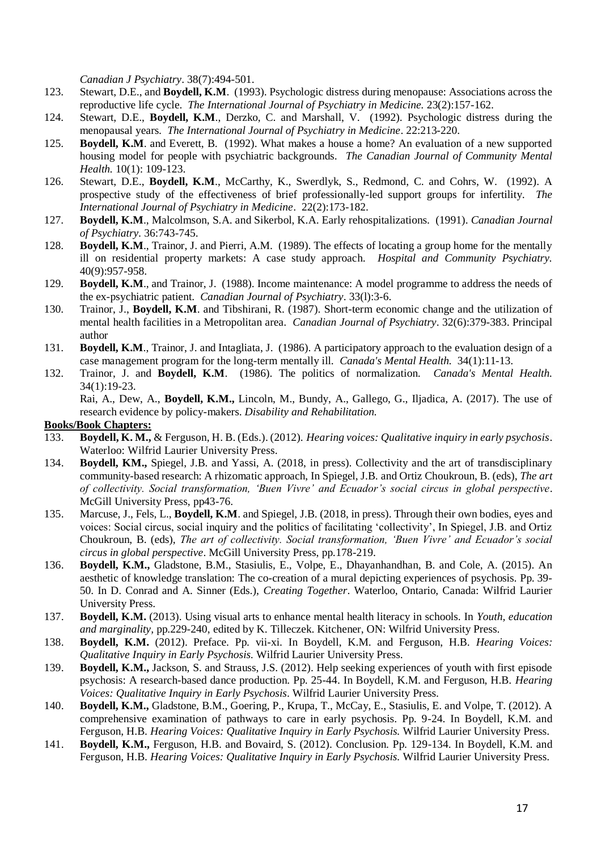*Canadian J Psychiatry*. 38(7):494-501.

- 123. Stewart, D.E., and **Boydell, K.M**. (1993). Psychologic distress during menopause: Associations across the reproductive life cycle. *The International Journal of Psychiatry in Medicine.* 23(2):157-162.
- 124. Stewart, D.E., **Boydell, K.M**., Derzko, C. and Marshall, V. (1992). Psychologic distress during the menopausal years*. The International Journal of Psychiatry in Medicine*. 22:213-220.
- 125. **Boydell, K.M**. and Everett, B. (1992). What makes a house a home? An evaluation of a new supported housing model for people with psychiatric backgrounds*. The Canadian Journal of Community Mental Health.* 10(1): 109-123.
- 126. Stewart, D.E., **Boydell, K.M**., McCarthy, K., Swerdlyk, S., Redmond, C. and Cohrs, W. (1992). A prospective study of the effectiveness of brief professionally-led support groups for infertility. *The International Journal of Psychiatry in Medicine*. 22(2):173-182.
- 127. **Boydell, K.M**., Malcolmson, S.A. and Sikerbol, K.A. Early rehospitalizations. (1991). *Canadian Journal of Psychiatry.* 36:743-745.
- 128. **Boydell, K.M**., Trainor, J. and Pierri, A.M. (1989). The effects of locating a group home for the mentally ill on residential property markets: A case study approach. *Hospital and Community Psychiatry.*  40(9):957-958.
- 129. **Boydell, K.M**., and Trainor, J. (1988). Income maintenance: A model programme to address the needs of the ex-psychiatric patient. *Canadian Journal of Psychiatry*. 33(l):3-6.
- 130. Trainor, J., **Boydell, K.M**. and Tibshirani, R. (1987). Short-term economic change and the utilization of mental health facilities in a Metropolitan area. *Canadian Journal of Psychiatry*. 32(6):379-383. Principal author
- 131. **Boydell, K.M**., Trainor, J. and Intagliata, J. (1986). A participatory approach to the evaluation design of a case management program for the long-term mentally ill. *Canada's Mental Health.* 34(1):11-13.
- 132. Trainor, J. and **Boydell, K.M**. (1986). The politics of normalization. *Canada's Mental Health.* 34(1):19-23.

Rai, A., Dew, A., **Boydell, K.M.,** Lincoln, M., Bundy, A., Gallego, G., Iljadica, A. (2017). The use of research evidence by policy-makers. *Disability and Rehabilitation.*

#### **Books/Book Chapters:**

- 133. **Boydell, K. M.,** & Ferguson, H. B. (Eds.). (2012). *Hearing voices: Qualitative inquiry in early psychosis*. Waterloo: Wilfrid Laurier University Press.
- 134. **Boydell, KM.,** Spiegel, J.B. and Yassi, A. (2018, in press). Collectivity and the art of transdisciplinary community-based research: A rhizomatic approach, In Spiegel, J.B. and Ortiz Choukroun, B. (eds), *The art of collectivity. Social transformation, 'Buen Vivre' and Ecuador's social circus in global perspective*. McGill University Press, pp43-76.
- 135. Marcuse, J., Fels, L., **Boydell, K.M**. and Spiegel, J.B. (2018, in press). Through their own bodies, eyes and voices: Social circus, social inquiry and the politics of facilitating 'collectivity', In Spiegel, J.B. and Ortiz Choukroun, B. (eds), *The art of collectivity. Social transformation, 'Buen Vivre' and Ecuador's social circus in global perspective*. McGill University Press, pp.178-219.
- 136. **Boydell, K.M.,** Gladstone, B.M., Stasiulis, E., Volpe, E., Dhayanhandhan, B. and Cole, A. (2015). An aesthetic of knowledge translation: The co-creation of a mural depicting experiences of psychosis. Pp. 39- 50. In D. Conrad and A. Sinner (Eds.), *Creating Together*. Waterloo, Ontario, Canada: Wilfrid Laurier University Press.
- 137. **Boydell, K.M.** (2013). Using visual arts to enhance mental health literacy in schools. In *Youth, education and marginality,* pp.229-240, edited by K. Tilleczek. Kitchener, ON: Wilfrid University Press.
- 138. **Boydell, K.M.** (2012). Preface. Pp. vii-xi. In Boydell, K.M. and Ferguson, H.B. *Hearing Voices: Qualitative Inquiry in Early Psychosis.* Wilfrid Laurier University Press.
- 139. **Boydell, K.M.,** Jackson, S. and Strauss, J.S. (2012). Help seeking experiences of youth with first episode psychosis: A research-based dance production. Pp. 25-44. In Boydell, K.M. and Ferguson, H.B. *Hearing Voices: Qualitative Inquiry in Early Psychosis*. Wilfrid Laurier University Press.
- 140. **Boydell, K.M.,** Gladstone, B.M., Goering, P., Krupa, T., McCay, E., Stasiulis, E. and Volpe, T. (2012). A comprehensive examination of pathways to care in early psychosis. Pp. 9-24. In Boydell, K.M. and Ferguson, H.B. *Hearing Voices: Qualitative Inquiry in Early Psychosis.* Wilfrid Laurier University Press.
- 141. **Boydell, K.M.,** Ferguson, H.B. and Bovaird, S. (2012). Conclusion. Pp. 129-134. In Boydell, K.M. and Ferguson, H.B. *Hearing Voices: Qualitative Inquiry in Early Psychosis.* Wilfrid Laurier University Press.